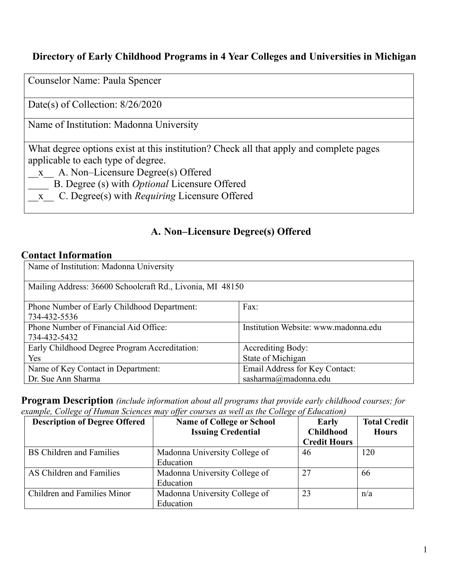#### **Directory of Early Childhood Programs in 4 Year Colleges and Universities in Michigan**

Counselor Name: Paula Spencer

Date(s) of Collection: 8/26/2020

Name of Institution: Madonna University

What degree options exist at this institution? Check all that apply and complete pages applicable to each type of degree.

- \_\_x\_\_ A. Non–Licensure Degree(s) Offered
- \_\_\_\_ B. Degree (s) with *Optional* Licensure Offered
- \_\_x\_\_ C. Degree(s) with *Requiring* Licensure Offered

#### **A. Non–Licensure Degree(s) Offered**

#### **Contact Information**

| Name of Institution: Madonna University                   |                                      |  |
|-----------------------------------------------------------|--------------------------------------|--|
| Mailing Address: 36600 Schoolcraft Rd., Livonia, MI 48150 |                                      |  |
| Phone Number of Early Childhood Department:               | Fax:                                 |  |
| 734-432-5536                                              |                                      |  |
| Phone Number of Financial Aid Office:                     | Institution Website: www.madonna.edu |  |
| 734-432-5432                                              |                                      |  |
| Early Childhood Degree Program Accreditation:             | <b>Accrediting Body:</b>             |  |
| Yes                                                       | State of Michigan                    |  |
| Name of Key Contact in Department:                        | Email Address for Key Contact:       |  |
| Dr. Sue Ann Sharma                                        | sasharma@madonna.edu                 |  |

**Program Description** *(include information about all programs that provide early childhood courses; for example, College of Human Sciences may offer courses as well as the College of Education)*

| <b>Description of Degree Offered</b> | <b>Name of College or School</b> | Early               | <b>Total Credit</b> |
|--------------------------------------|----------------------------------|---------------------|---------------------|
|                                      | <b>Issuing Credential</b>        | <b>Childhood</b>    | <b>Hours</b>        |
|                                      |                                  | <b>Credit Hours</b> |                     |
| <b>BS Children and Families</b>      | Madonna University College of    | 46                  | 120                 |
|                                      | Education                        |                     |                     |
| AS Children and Families             | Madonna University College of    | 27                  | 66                  |
|                                      | Education                        |                     |                     |
| Children and Families Minor          | Madonna University College of    | 23                  | n/a                 |
|                                      | Education                        |                     |                     |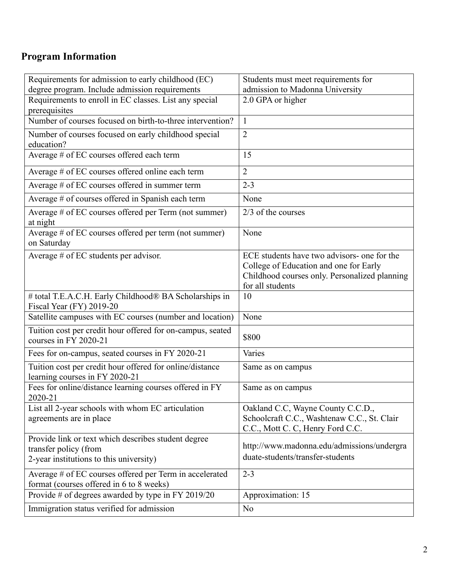# **Program Information**

| Requirements for admission to early childhood (EC)                                                                      | Students must meet requirements for                                                                                                                        |
|-------------------------------------------------------------------------------------------------------------------------|------------------------------------------------------------------------------------------------------------------------------------------------------------|
| degree program. Include admission requirements<br>Requirements to enroll in EC classes. List any special                | admission to Madonna University<br>2.0 GPA or higher                                                                                                       |
| prerequisites                                                                                                           |                                                                                                                                                            |
| Number of courses focused on birth-to-three intervention?                                                               | $\mathbf{1}$                                                                                                                                               |
| Number of courses focused on early childhood special<br>education?                                                      | $\overline{2}$                                                                                                                                             |
| Average # of EC courses offered each term                                                                               | 15                                                                                                                                                         |
| Average # of EC courses offered online each term                                                                        | $\overline{2}$                                                                                                                                             |
| Average # of EC courses offered in summer term                                                                          | $2 - 3$                                                                                                                                                    |
| Average # of courses offered in Spanish each term                                                                       | None                                                                                                                                                       |
| Average # of EC courses offered per Term (not summer)<br>at night                                                       | 2/3 of the courses                                                                                                                                         |
| Average # of EC courses offered per term (not summer)<br>on Saturday                                                    | None                                                                                                                                                       |
| Average $#$ of EC students per advisor.                                                                                 | ECE students have two advisors- one for the<br>College of Education and one for Early<br>Childhood courses only. Personalized planning<br>for all students |
| # total T.E.A.C.H. Early Childhood® BA Scholarships in<br>Fiscal Year (FY) 2019-20                                      | 10                                                                                                                                                         |
| Satellite campuses with EC courses (number and location)                                                                | None                                                                                                                                                       |
| Tuition cost per credit hour offered for on-campus, seated<br>courses in FY 2020-21                                     | \$800                                                                                                                                                      |
| Fees for on-campus, seated courses in FY 2020-21                                                                        | Varies                                                                                                                                                     |
| Tuition cost per credit hour offered for online/distance<br>learning courses in FY 2020-21                              | Same as on campus                                                                                                                                          |
| Fees for online/distance learning courses offered in FY<br>2020-21                                                      | Same as on campus                                                                                                                                          |
| List all 2-year schools with whom EC articulation<br>agreements are in place                                            | Oakland C.C, Wayne County C.C.D.,<br>Schoolcraft C.C., Washtenaw C.C., St. Clair<br>C.C., Mott C.C, Henry Ford C.C.                                        |
| Provide link or text which describes student degree<br>transfer policy (from<br>2-year institutions to this university) | http://www.madonna.edu/admissions/undergra<br>duate-students/transfer-students                                                                             |
| Average # of EC courses offered per Term in accelerated<br>format (courses offered in 6 to 8 weeks)                     | $2 - 3$                                                                                                                                                    |
| Provide # of degrees awarded by type in FY 2019/20                                                                      | Approximation: 15                                                                                                                                          |
| Immigration status verified for admission                                                                               | No                                                                                                                                                         |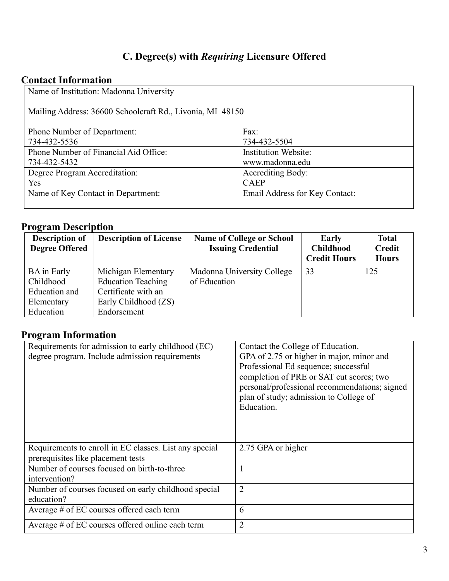## **C. Degree(s) with** *Requiring* **Licensure Offered**

### **Contact Information**

| Name of Institution: Madonna University                   |                                |  |
|-----------------------------------------------------------|--------------------------------|--|
| Mailing Address: 36600 Schoolcraft Rd., Livonia, MI 48150 |                                |  |
| <b>Phone Number of Department:</b>                        | Fax:                           |  |
| 734-432-5536                                              | 734-432-5504                   |  |
| Phone Number of Financial Aid Office:                     | <b>Institution Website:</b>    |  |
| 734-432-5432                                              | www.madonna.edu                |  |
| Degree Program Accreditation:                             | <b>Accrediting Body:</b>       |  |
| Yes                                                       | <b>CAEP</b>                    |  |
| Name of Key Contact in Department:                        | Email Address for Key Contact: |  |

## **Program Description**

| <b>Description of</b><br><b>Degree Offered</b> | <b>Description of License</b> | <b>Name of College or School</b><br><b>Issuing Credential</b> | <b>Early</b><br><b>Childhood</b><br><b>Credit Hours</b> | <b>Total</b><br><b>Credit</b><br><b>Hours</b> |
|------------------------------------------------|-------------------------------|---------------------------------------------------------------|---------------------------------------------------------|-----------------------------------------------|
| <b>BA</b> in Early                             | Michigan Elementary           | Madonna University College                                    | 33                                                      | 125                                           |
| Childhood                                      | <b>Education Teaching</b>     | of Education                                                  |                                                         |                                               |
| Education and                                  | Certificate with an           |                                                               |                                                         |                                               |
| Elementary                                     | Early Childhood (ZS)          |                                                               |                                                         |                                               |
| Education                                      | Endorsement                   |                                                               |                                                         |                                               |

## **Program Information**

| Requirements for admission to early childhood (EC)     | Contact the College of Education.             |
|--------------------------------------------------------|-----------------------------------------------|
| degree program. Include admission requirements         | GPA of 2.75 or higher in major, minor and     |
|                                                        | Professional Ed sequence; successful          |
|                                                        | completion of PRE or SAT cut scores; two      |
|                                                        | personal/professional recommendations; signed |
|                                                        | plan of study; admission to College of        |
|                                                        | Education.                                    |
|                                                        |                                               |
|                                                        |                                               |
| Requirements to enroll in EC classes. List any special | 2.75 GPA or higher                            |
| prerequisites like placement tests                     |                                               |
| Number of courses focused on birth-to-three            | 1                                             |
| intervention?                                          |                                               |
| Number of courses focused on early childhood special   | $\overline{2}$                                |
|                                                        |                                               |
| education?                                             |                                               |
| Average # of EC courses offered each term              | 6                                             |
| Average # of EC courses offered online each term       | 2                                             |